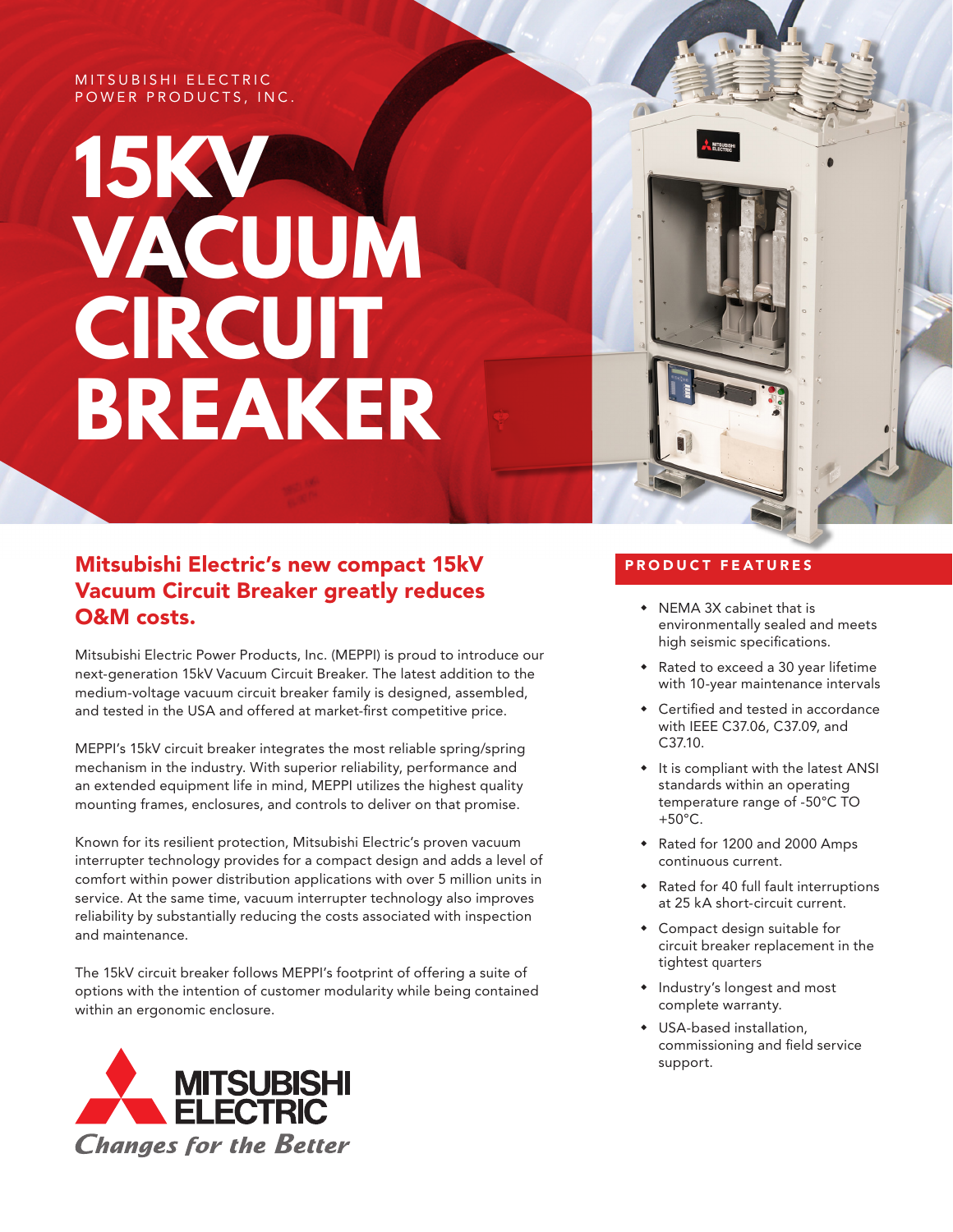#### MITSUBISHI ELECTRIC POWER PRODUCTS, INC.

# **15KV VACUUM CIRCUIT BREAKER**



### Mitsubishi Electric's new compact 15kV Vacuum Circuit Breaker greatly reduces O&M costs.

Mitsubishi Electric Power Products, Inc. (MEPPI) is proud to introduce our next-generation 15kV Vacuum Circuit Breaker. The latest addition to the medium-voltage vacuum circuit breaker family is designed, assembled, and tested in the USA and offered at market-first competitive price.

MEPPI's 15kV circuit breaker integrates the most reliable spring/spring mechanism in the industry. With superior reliability, performance and an extended equipment life in mind, MEPPI utilizes the highest quality mounting frames, enclosures, and controls to deliver on that promise.

Known for its resilient protection, Mitsubishi Electric's proven vacuum interrupter technology provides for a compact design and adds a level of comfort within power distribution applications with over 5 million units in service. At the same time, vacuum interrupter technology also improves reliability by substantially reducing the costs associated with inspection and maintenance.

The 15kV circuit breaker follows MEPPI's footprint of offering a suite of options with the intention of customer modularity while being contained within an ergonomic enclosure.



#### PRODUCT FEATURES

- NEMA 3X cabinet that is environmentally sealed and meets high seismic specifications.
- Rated to exceed a 30 year lifetime with 10-year maintenance intervals
- Certified and tested in accordance with IEEE C37.06, C37.09, and C37.10.
- $*$  It is compliant with the latest ANSI standards within an operating temperature range of -50°C TO +50°C.
- Rated for 1200 and 2000 Amps continuous current.
- Rated for 40 full fault interruptions at 25 kA short-circuit current.
- Compact design suitable for circuit breaker replacement in the tightest quarters
- Industry's longest and most complete warranty.
- USA-based installation, commissioning and field service support.